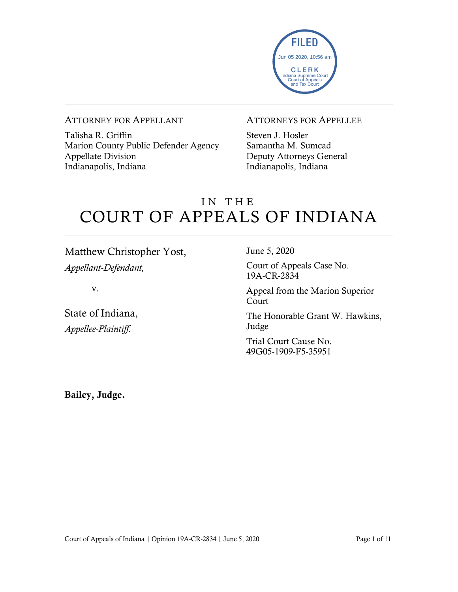

#### ATTORNEY FOR APPELLANT

Talisha R. Griffin Marion County Public Defender Agency Appellate Division Indianapolis, Indiana

#### ATTORNEYS FOR APPELLEE

Steven J. Hosler Samantha M. Sumcad Deputy Attorneys General Indianapolis, Indiana

### IN THE COURT OF APPEALS OF INDIANA

Matthew Christopher Yost, *Appellant-Defendant,*

v.

State of Indiana, *Appellee-Plaintiff.*

June 5, 2020

Court of Appeals Case No. 19A-CR-2834

Appeal from the Marion Superior Court

The Honorable Grant W. Hawkins, Judge

Trial Court Cause No. 49G05-1909-F5-35951

Bailey, Judge.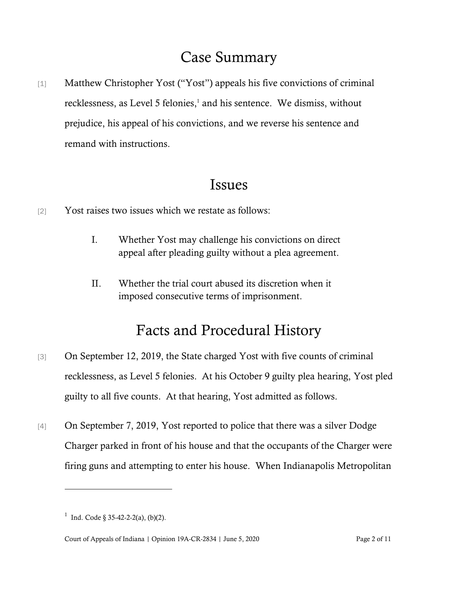### Case Summary

[1] Matthew Christopher Yost ("Yost") appeals his five convictions of criminal recklessness, as Level 5 felonies,<sup>1</sup> and his sentence. We dismiss, without prejudice, his appeal of his convictions, and we reverse his sentence and remand with instructions.

### Issues

- [2] Yost raises two issues which we restate as follows:
	- I. Whether Yost may challenge his convictions on direct appeal after pleading guilty without a plea agreement.
	- II. Whether the trial court abused its discretion when it imposed consecutive terms of imprisonment.

## Facts and Procedural History

- [3] On September 12, 2019, the State charged Yost with five counts of criminal recklessness, as Level 5 felonies. At his October 9 guilty plea hearing, Yost pled guilty to all five counts. At that hearing, Yost admitted as follows.
- [4] On September 7, 2019, Yost reported to police that there was a silver Dodge Charger parked in front of his house and that the occupants of the Charger were firing guns and attempting to enter his house. When Indianapolis Metropolitan

<sup>&</sup>lt;sup>1</sup> Ind. Code § 35-42-2-2(a), (b)(2).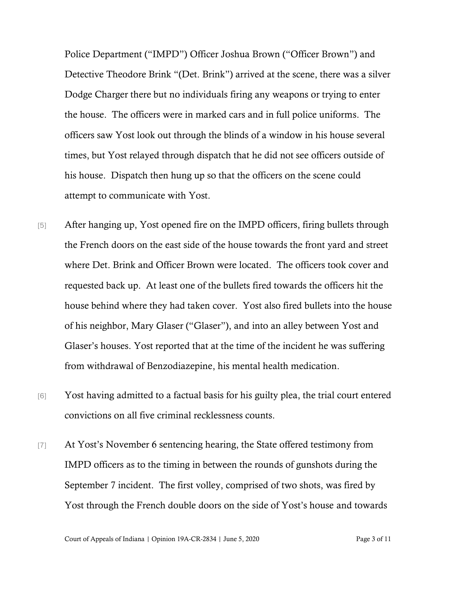Police Department ("IMPD") Officer Joshua Brown ("Officer Brown") and Detective Theodore Brink "(Det. Brink") arrived at the scene, there was a silver Dodge Charger there but no individuals firing any weapons or trying to enter the house. The officers were in marked cars and in full police uniforms. The officers saw Yost look out through the blinds of a window in his house several times, but Yost relayed through dispatch that he did not see officers outside of his house. Dispatch then hung up so that the officers on the scene could attempt to communicate with Yost.

- [5] After hanging up, Yost opened fire on the IMPD officers, firing bullets through the French doors on the east side of the house towards the front yard and street where Det. Brink and Officer Brown were located. The officers took cover and requested back up. At least one of the bullets fired towards the officers hit the house behind where they had taken cover. Yost also fired bullets into the house of his neighbor, Mary Glaser ("Glaser"), and into an alley between Yost and Glaser's houses. Yost reported that at the time of the incident he was suffering from withdrawal of Benzodiazepine, his mental health medication.
- [6] Yost having admitted to a factual basis for his guilty plea, the trial court entered convictions on all five criminal recklessness counts.
- [7] At Yost's November 6 sentencing hearing, the State offered testimony from IMPD officers as to the timing in between the rounds of gunshots during the September 7 incident. The first volley, comprised of two shots, was fired by Yost through the French double doors on the side of Yost's house and towards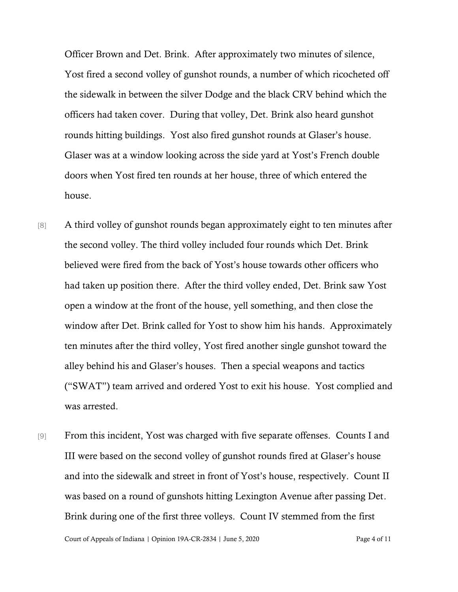Officer Brown and Det. Brink. After approximately two minutes of silence, Yost fired a second volley of gunshot rounds, a number of which ricocheted off the sidewalk in between the silver Dodge and the black CRV behind which the officers had taken cover. During that volley, Det. Brink also heard gunshot rounds hitting buildings. Yost also fired gunshot rounds at Glaser's house. Glaser was at a window looking across the side yard at Yost's French double doors when Yost fired ten rounds at her house, three of which entered the house.

- [8] A third volley of gunshot rounds began approximately eight to ten minutes after the second volley. The third volley included four rounds which Det. Brink believed were fired from the back of Yost's house towards other officers who had taken up position there. After the third volley ended, Det. Brink saw Yost open a window at the front of the house, yell something, and then close the window after Det. Brink called for Yost to show him his hands. Approximately ten minutes after the third volley, Yost fired another single gunshot toward the alley behind his and Glaser's houses. Then a special weapons and tactics ("SWAT") team arrived and ordered Yost to exit his house. Yost complied and was arrested.
- [9] From this incident, Yost was charged with five separate offenses. Counts I and III were based on the second volley of gunshot rounds fired at Glaser's house and into the sidewalk and street in front of Yost's house, respectively. Count II was based on a round of gunshots hitting Lexington Avenue after passing Det. Brink during one of the first three volleys. Count IV stemmed from the first

Court of Appeals of Indiana | Opinion 19A-CR-2834 | June 5, 2020 Page 4 of 11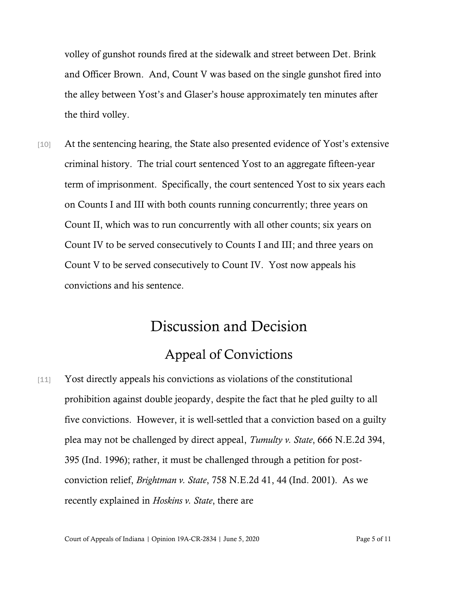volley of gunshot rounds fired at the sidewalk and street between Det. Brink and Officer Brown. And, Count V was based on the single gunshot fired into the alley between Yost's and Glaser's house approximately ten minutes after the third volley.

[10] At the sentencing hearing, the State also presented evidence of Yost's extensive criminal history. The trial court sentenced Yost to an aggregate fifteen-year term of imprisonment. Specifically, the court sentenced Yost to six years each on Counts I and III with both counts running concurrently; three years on Count II, which was to run concurrently with all other counts; six years on Count IV to be served consecutively to Counts I and III; and three years on Count V to be served consecutively to Count IV. Yost now appeals his convictions and his sentence.

# Discussion and Decision Appeal of Convictions

[11] Yost directly appeals his convictions as violations of the constitutional prohibition against double jeopardy, despite the fact that he pled guilty to all five convictions. However, it is well-settled that a conviction based on a guilty plea may not be challenged by direct appeal, *Tumulty v. State*, 666 N.E.2d 394, 395 (Ind. 1996); rather, it must be challenged through a petition for postconviction relief, *Brightman v. State*, 758 N.E.2d 41, 44 (Ind. 2001). As we recently explained in *Hoskins v. State*, there are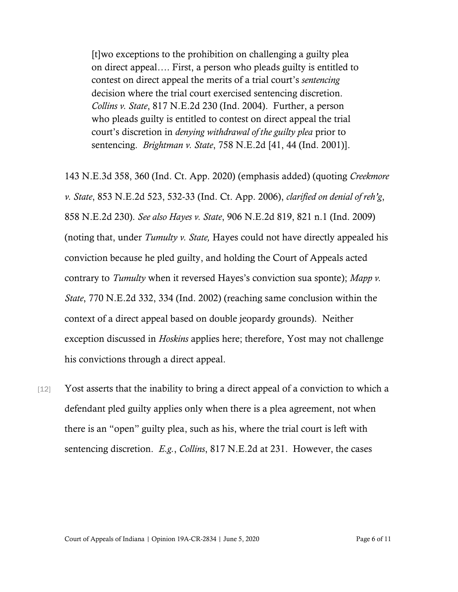[t]wo exceptions to the prohibition on challenging a guilty plea on direct appeal…. First, a person who pleads guilty is entitled to contest on direct appeal the merits of a trial court's *sentencing* decision where the trial court exercised sentencing discretion. *Collins v. State*, 817 N.E.2d 230 (Ind. 2004). Further, a person who pleads guilty is entitled to contest on direct appeal the trial court's discretion in *denying withdrawal of the guilty plea* prior to sentencing. *Brightman v. State*, 758 N.E.2d [41, 44 (Ind. 2001)].

143 N.E.3d 358, 360 (Ind. Ct. App. 2020) (emphasis added) (quoting *Creekmore v. State*, 853 N.E.2d 523, 532-33 (Ind. Ct. App. 2006), *clarified on denial of reh'g*, 858 N.E.2d 230). *See also Hayes v. State*, 906 N.E.2d 819, 821 n.1 (Ind. 2009) (noting that, under *Tumulty v. State,* Hayes could not have directly appealed his conviction because he pled guilty, and holding the Court of Appeals acted contrary to *Tumulty* when it reversed Hayes's conviction sua sponte); *Mapp v. State*, 770 N.E.2d 332, 334 (Ind. 2002) (reaching same conclusion within the context of a direct appeal based on double jeopardy grounds). Neither exception discussed in *Hoskins* applies here; therefore, Yost may not challenge his convictions through a direct appeal.

[12] Yost asserts that the inability to bring a direct appeal of a conviction to which a defendant pled guilty applies only when there is a plea agreement, not when there is an "open" guilty plea, such as his, where the trial court is left with sentencing discretion. *E.g.*, *Collins*, 817 N.E.2d at 231. However, the cases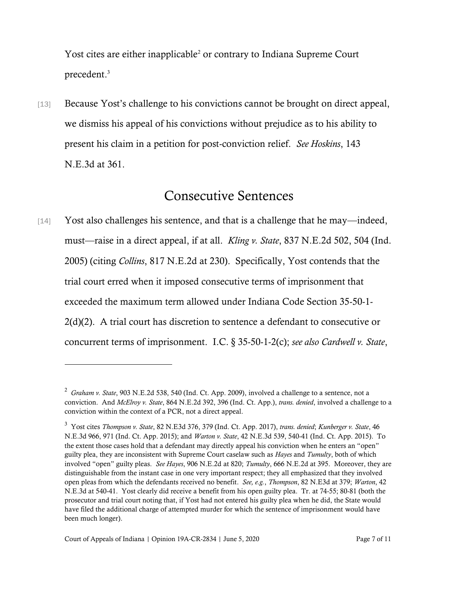Yost cites are either inapplicable<sup>2</sup> or contrary to Indiana Supreme Court precedent. 3

[13] Because Yost's challenge to his convictions cannot be brought on direct appeal, we dismiss his appeal of his convictions without prejudice as to his ability to present his claim in a petition for post-conviction relief. *See Hoskins*, 143 N.E.3d at 361.

#### Consecutive Sentences

[14] Yost also challenges his sentence, and that is a challenge that he may—indeed, must—raise in a direct appeal, if at all. *Kling v. State*, 837 N.E.2d 502, 504 (Ind. 2005) (citing *Collins*, 817 N.E.2d at 230). Specifically, Yost contends that the trial court erred when it imposed consecutive terms of imprisonment that exceeded the maximum term allowed under Indiana Code Section 35-50-1- 2(d)(2). A trial court has discretion to sentence a defendant to consecutive or concurrent terms of imprisonment. I.C. § 35-50-1-2(c); *see also Cardwell v. State*,

<sup>2</sup> *Graham v. State*, 903 N.E.2d 538, 540 (Ind. Ct. App. 2009), involved a challenge to a sentence, not a conviction. And *McElroy v. State*, 864 N.E.2d 392, 396 (Ind. Ct. App.), *trans. denied*, involved a challenge to a conviction within the context of a PCR, not a direct appeal.

<sup>3</sup> Yost cites *Thompson v. State*, 82 N.E3d 376, 379 (Ind. Ct. App. 2017), *trans. denied*; *Kunberger v. State*, 46 N.E.3d 966, 971 (Ind. Ct. App. 2015); and *Warton v. State*, 42 N.E.3d 539, 540-41 (Ind. Ct. App. 2015). To the extent those cases hold that a defendant may directly appeal his conviction when he enters an "open" guilty plea, they are inconsistent with Supreme Court caselaw such as *Hayes* and *Tumulty*, both of which involved "open" guilty pleas. *See Hayes*, 906 N.E.2d at 820; *Tumulty*, 666 N.E.2d at 395. Moreover, they are distinguishable from the instant case in one very important respect; they all emphasized that they involved open pleas from which the defendants received no benefit. *See, e.g.*, *Thompson*, 82 N.E3d at 379; *Warton*, 42 N.E.3d at 540-41. Yost clearly did receive a benefit from his open guilty plea. Tr. at 74-55; 80-81 (both the prosecutor and trial court noting that, if Yost had not entered his guilty plea when he did, the State would have filed the additional charge of attempted murder for which the sentence of imprisonment would have been much longer).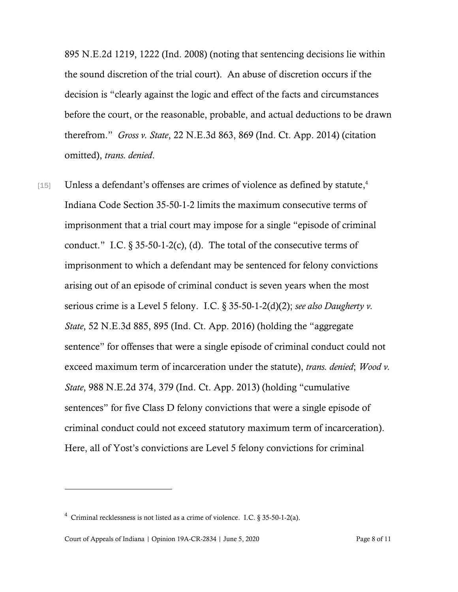895 N.E.2d 1219, 1222 (Ind. 2008) (noting that sentencing decisions lie within the sound discretion of the trial court). An abuse of discretion occurs if the decision is "clearly against the logic and effect of the facts and circumstances before the court, or the reasonable, probable, and actual deductions to be drawn therefrom." *Gross v. State*, 22 N.E.3d 863, 869 (Ind. Ct. App. 2014) (citation omitted), *trans. denied*.

[15] Unless a defendant's offenses are crimes of violence as defined by statute,<sup>4</sup> Indiana Code Section 35-50-1-2 limits the maximum consecutive terms of imprisonment that a trial court may impose for a single "episode of criminal conduct." I.C.  $\S 35-50-1-2(c)$ , (d). The total of the consecutive terms of imprisonment to which a defendant may be sentenced for felony convictions arising out of an episode of criminal conduct is seven years when the most serious crime is a Level 5 felony. I.C. § 35-50-1-2(d)(2); *see also Daugherty v. State*, 52 N.E.3d 885, 895 (Ind. Ct. App. 2016) (holding the "aggregate sentence" for offenses that were a single episode of criminal conduct could not exceed maximum term of incarceration under the statute), *trans. denied*; *Wood v. State*, 988 N.E.2d 374, 379 (Ind. Ct. App. 2013) (holding "cumulative sentences" for five Class D felony convictions that were a single episode of criminal conduct could not exceed statutory maximum term of incarceration). Here, all of Yost's convictions are Level 5 felony convictions for criminal

<sup>&</sup>lt;sup>4</sup> Criminal recklessness is not listed as a crime of violence. I.C. § 35-50-1-2(a).

Court of Appeals of Indiana | Opinion 19A-CR-2834 | June 5, 2020 Page 8 of 11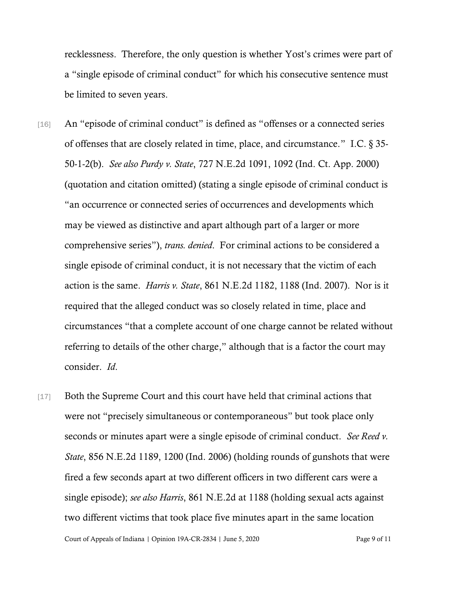recklessness. Therefore, the only question is whether Yost's crimes were part of a "single episode of criminal conduct" for which his consecutive sentence must be limited to seven years.

- [16] An "episode of criminal conduct" is defined as "offenses or a connected series of offenses that are closely related in time, place, and circumstance." I.C. § 35- 50-1-2(b). *See also Purdy v. State*, 727 N.E.2d 1091, 1092 (Ind. Ct. App. 2000) (quotation and citation omitted) (stating a single episode of criminal conduct is "an occurrence or connected series of occurrences and developments which may be viewed as distinctive and apart although part of a larger or more comprehensive series"), *trans. denied*. For criminal actions to be considered a single episode of criminal conduct, it is not necessary that the victim of each action is the same. *Harris v. State*, 861 N.E.2d 1182, 1188 (Ind. 2007). Nor is it required that the alleged conduct was so closely related in time, place and circumstances "that a complete account of one charge cannot be related without referring to details of the other charge," although that is a factor the court may consider. *Id*.
- [17] Both the Supreme Court and this court have held that criminal actions that were not "precisely simultaneous or contemporaneous" but took place only seconds or minutes apart were a single episode of criminal conduct. *See Reed v. State*, 856 N.E.2d 1189, 1200 (Ind. 2006) (holding rounds of gunshots that were fired a few seconds apart at two different officers in two different cars were a single episode); *see also Harris*, 861 N.E.2d at 1188 (holding sexual acts against two different victims that took place five minutes apart in the same location

Court of Appeals of Indiana | Opinion 19A-CR-2834 | June 5, 2020 Page 9 of 11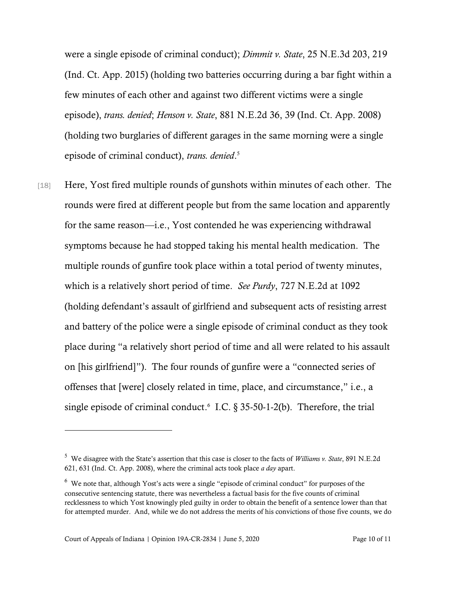were a single episode of criminal conduct); *Dimmit v. State*, 25 N.E.3d 203, 219 (Ind. Ct. App. 2015) (holding two batteries occurring during a bar fight within a few minutes of each other and against two different victims were a single episode), *trans. denied*; *Henson v. State*, 881 N.E.2d 36, 39 (Ind. Ct. App. 2008) (holding two burglaries of different garages in the same morning were a single episode of criminal conduct), *trans. denied*. 5

[18] Here, Yost fired multiple rounds of gunshots within minutes of each other. The rounds were fired at different people but from the same location and apparently for the same reason—i.e., Yost contended he was experiencing withdrawal symptoms because he had stopped taking his mental health medication. The multiple rounds of gunfire took place within a total period of twenty minutes, which is a relatively short period of time. *See Purdy*, 727 N.E.2d at 1092 (holding defendant's assault of girlfriend and subsequent acts of resisting arrest and battery of the police were a single episode of criminal conduct as they took place during "a relatively short period of time and all were related to his assault on [his girlfriend]"). The four rounds of gunfire were a "connected series of offenses that [were] closely related in time, place, and circumstance," i.e., a single episode of criminal conduct.<sup>6</sup> I.C.  $\S 35-50-1-2(b)$ . Therefore, the trial

<sup>5</sup> We disagree with the State's assertion that this case is closer to the facts of *Williams v. State*, 891 N.E.2d 621, 631 (Ind. Ct. App. 2008), where the criminal acts took place *a day* apart.

 $6\,$  We note that, although Yost's acts were a single "episode of criminal conduct" for purposes of the consecutive sentencing statute, there was nevertheless a factual basis for the five counts of criminal recklessness to which Yost knowingly pled guilty in order to obtain the benefit of a sentence lower than that for attempted murder. And, while we do not address the merits of his convictions of those five counts, we do